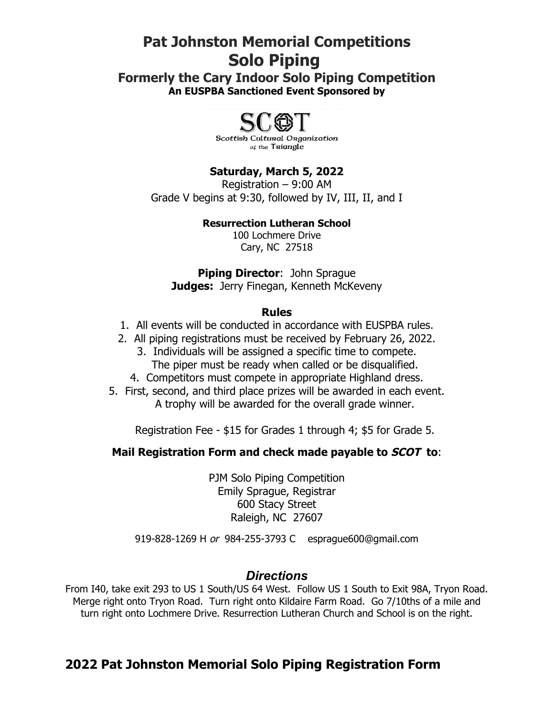# **Pat Johnston Memorial Competitions Solo Piping**

**Formerly the Cary Indoor Solo Piping Competition An EUSPBA Sanctioned Event Sponsored by**



**Saturday, March 5, 2022** Registration – 9:00 AM Grade V begins at 9:30, followed by IV, III, II, and I

#### **Resurrection Lutheran School**

100 Lochmere Drive Cary, NC 27518

**Piping Director**: John Sprague **Judges:** Jerry Finegan, Kenneth McKeveny

#### **Rules**

- 1. All events will be conducted in accordance with EUSPBA rules.
- 2. All piping registrations must be received by February 26, 2022. 3. Individuals will be assigned a specific time to compete. The piper must be ready when called or be disqualified.
	-
	- 4. Competitors must compete in appropriate Highland dress.
- 5. First, second, and third place prizes will be awarded in each event. A trophy will be awarded for the overall grade winner.

Registration Fee - \$15 for Grades 1 through 4; \$5 for Grade 5.

# **Mail Registration Form and check made payable to SCOT to**:

PJM Solo Piping Competition Emily Sprague, Registrar 600 Stacy Street Raleigh, NC 27607

919-828-1269 H or 984-255-3793 C esprague600@gmail.com

# *Directions*

From I40, take exit 293 to US 1 South/US 64 West. Follow US 1 South to Exit 98A, Tryon Road. Merge right onto Tryon Road. Turn right onto Kildaire Farm Road. Go 7/10ths of a mile and turn right onto Lochmere Drive. Resurrection Lutheran Church and School is on the right.

# **2022 Pat Johnston Memorial Solo Piping Registration Form**